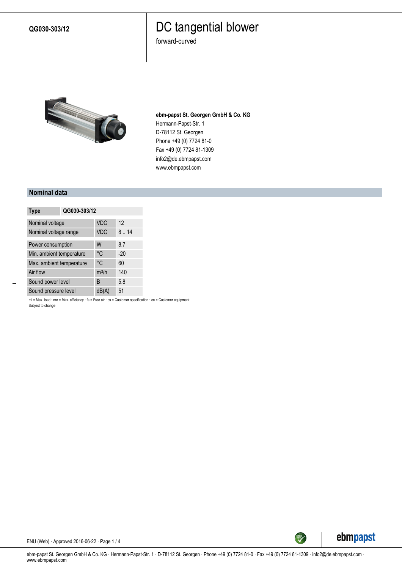**QG030-303/12**

### DC tangential blower

forward-curved



**ebm-papst St. Georgen GmbH & Co. KG** Hermann-Papst-Str. 1 D-78112 St. Georgen Phone +49 (0) 7724 81-0 Fax +49 (0) 7724 81-1309 info2@de.ebmpapst.com www.ebmpapst.com

#### **Nominal data**

| <b>Type</b>              | QG030-303/12 |            |       |
|--------------------------|--------------|------------|-------|
| Nominal voltage          |              | <b>VDC</b> | 12    |
| Nominal voltage range    |              | <b>VDC</b> | 8.14  |
| Power consumption        |              | W          | 8.7   |
| Min. ambient temperature |              | °C         | $-20$ |
| Max. ambient temperature |              | °C         | 60    |
| Air flow                 |              | $m^3/h$    | 140   |
| Sound power level        |              | B          | 5.8   |
| Sound pressure level     |              | dB         | 51    |

ml = Max. load · me = Max. efficiency · fa = Free air · cs = Customer specification · ce = Customer equipment Subject to change



ENU (Web) · Approved 2016-06-22 · Page 1 / 4

ebm-papst St. Georgen GmbH & Co. KG · Hermann-Papst-Str. 1 · D-78112 St. Georgen · Phone +49 (0) 7724 81-0 · Fax +49 (0) 7724 81-1309 · info2@de.ebmpapst.com · www.ebmpapst.com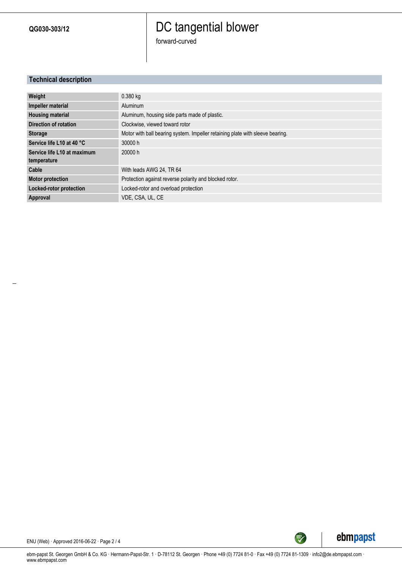**QG030-303/12**

## DC tangential blower

forward-curved

### **Technical description**

| Weight                       | $0.380$ kg                                                                    |
|------------------------------|-------------------------------------------------------------------------------|
| Impeller material            | Aluminum                                                                      |
| <b>Housing material</b>      | Aluminum, housing side parts made of plastic.                                 |
| <b>Direction of rotation</b> | Clockwise, viewed toward rotor                                                |
| <b>Storage</b>               | Motor with ball bearing system. Impeller retaining plate with sleeve bearing. |
| Service life L10 at 40 °C    | 30000 h                                                                       |
| Service life L10 at maximum  | 20000 h                                                                       |
| temperature                  |                                                                               |
| Cable                        | With leads AWG 24, TR 64                                                      |
| <b>Motor protection</b>      | Protection against reverse polarity and blocked rotor.                        |
| Locked-rotor protection      | Locked-rotor and overload protection                                          |
| Approval                     | VDE. CSA. UL. CE                                                              |



ENU (Web) · Approved 2016-06-22 · Page 2 / 4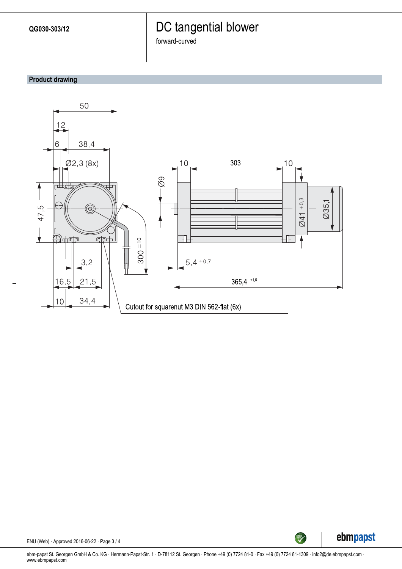### DC tangential blower

forward-curved

### **Product drawing**





ENU (Web) · Approved 2016-06-22 · Page 3 / 4

ebm-papst St. Georgen GmbH & Co. KG · Hermann-Papst-Str. 1 · D-78112 St. Georgen · Phone +49 (0) 7724 81-0 · Fax +49 (0) 7724 81-1309 · info2@de.ebmpapst.com · www.ebmpapst.com